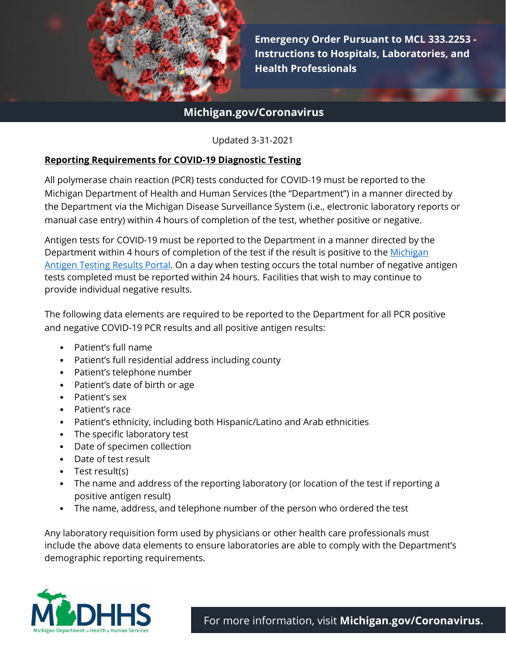

1 **Emergency Order Pursuant to MCL 333.2253 - Instructions to Hospitals, Laboratories, and Health Professionals**

# **Michigan.gov/Coronavirus**

Updated 3-31-2021

#### **Reporting Requirements for COVID-19 Diagnostic Testing**

All polymerase chain reaction (PCR) tests conducted for COVID-19 must be reported to the Michigan Department of Health and Human Services (the "Department") in a manner directed by the Department via the Michigan Disease Surveillance System (i.e., electronic laboratory reports or manual case entry) within 4 hours of completion of the test, whether positive or negative.

Antigen tests for COVID-19 must be reported to the Department in a manner directed by the Department within 4 hours of completion of the test if the result is positive to the Michigan [Antigen Testing Results](https://newmibridges.michigan.gov/s/isd-antigen-testing-results?language=en_US) Portal. On a day when testing occurs the total number of negative antigen tests completed must be reported within 24 hours. Facilities that wish to may continue to provide individual negative results.

The following data elements are required to be reported to the Department for all PCR positive and negative COVID-19 PCR results and all positive antigen results:

- Patient's full name
- Patient's full residential address including county
- Patient's telephone number
- Patient's date of birth or age
- Patient's sex
- Patient's race
- Patient's ethnicity, including both Hispanic/Latino and Arab ethnicities
- The specific laboratory test
- Date of specimen collection
- Date of test result
- Test result(s)
- The name and address of the reporting laboratory (or location of the test if reporting a positive antigen result)
- The name, address, and telephone number of the person who ordered the test

Any laboratory requisition form used by physicians or other health care professionals must include the above data elements to ensure laboratories are able to comply with the Department's demographic reporting requirements.

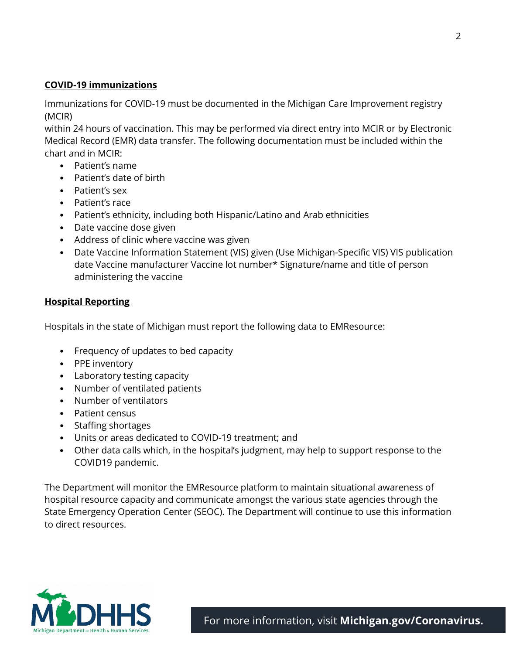### **COVID-19 immunizations**

Immunizations for COVID-19 must be documented in the Michigan Care Improvement registry (MCIR)

within 24 hours of vaccination. This may be performed via direct entry into MCIR or by Electronic Medical Record (EMR) data transfer. The following documentation must be included within the chart and in MCIR:

- Patient's name
- Patient's date of birth
- Patient's sex
- Patient's race
- Patient's ethnicity, including both Hispanic/Latino and Arab ethnicities
- Date vaccine dose given
- Address of clinic where vaccine was given
- Date Vaccine Information Statement (VIS) given (Use Michigan-Specific VIS) VIS publication date Vaccine manufacturer Vaccine lot number\* Signature/name and title of person administering the vaccine

### **Hospital Reporting**

Hospitals in the state of Michigan must report the following data to EMResource:

- Frequency of updates to bed capacity
- PPE inventory
- Laboratory testing capacity
- Number of ventilated patients
- Number of ventilators
- Patient census
- Staffing shortages
- Units or areas dedicated to COVID-19 treatment; and
- Other data calls which, in the hospital's judgment, may help to support response to the COVID19 pandemic.

The Department will monitor the EMResource platform to maintain situational awareness of hospital resource capacity and communicate amongst the various state agencies through the State Emergency Operation Center (SEOC). The Department will continue to use this information to direct resources.



2